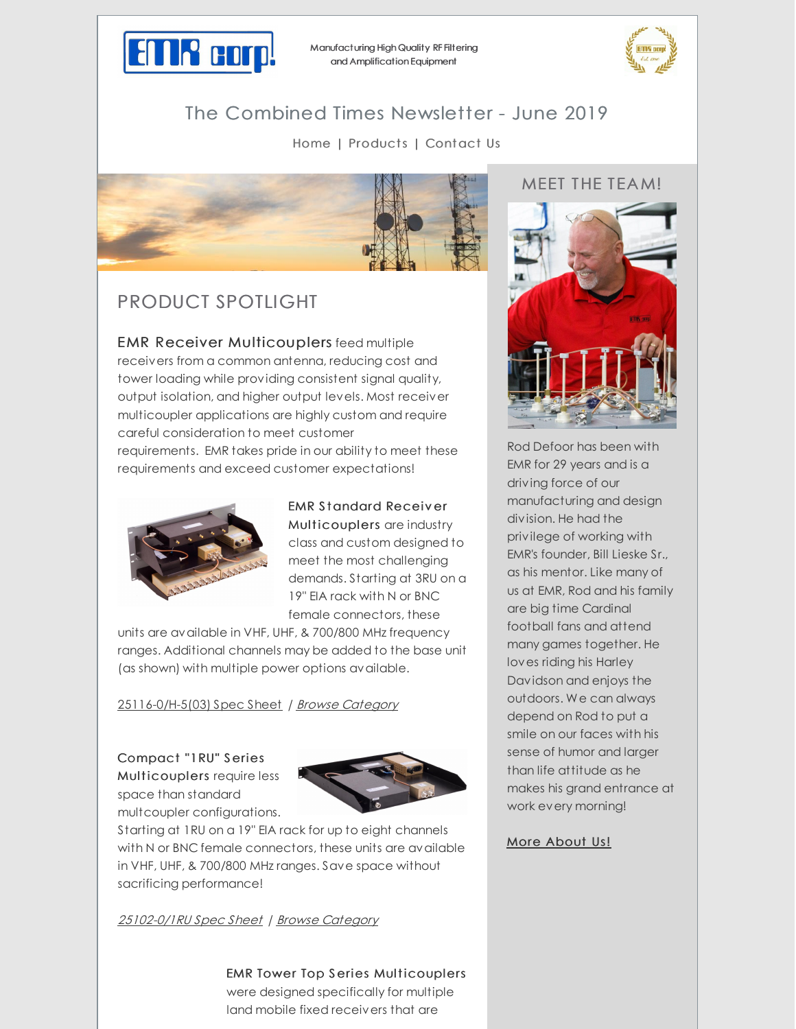

Manufacturing High Quality RF Filtering and Amplification Equipment



# The Combined Times Newsletter - June 2019

#### [Home](http://emrcorp.com) | [Products](http://www.emrcorp.com/) | [Contact](http://www.emrcorp.com/contact) Us



## PRODUCT SPOTLIGHT

EMR Receiver Multicouplers feed multiple receivers from a common antenna, reducing cost and tower loading while providing consistent signal quality, output isolation, and higher output levels. Most receiver multicoupler applications are highly custom and require careful consideration to meet customer requirements. EMR takes pride in our ability to meet these requirements and exceed customer expectations!



EMR S tandard Receiv er Multicouplers are industry class and custom designed to meet the most challenging demands. Starting at 3RU on a 19" EIA rack with N or BNC female connectors, these

units are available in VHF, UHF, & 700/800 MHz frequency ranges. Additional channels may be added to the base unit (as shown) with multiple power options available.

[25116-0/H-5\(03\)](http://www.emrcorp.com/doc/uploads/9906c6185732178a8daa80473854787f25116-0_H-5(03).pdf) Spec Sheet / Browse [Category](http://www.emrcorp.com/cart/subcategories?cid=5&sub_category=Receiver Multicouplers)

Compact "1RU" S eries Multicouplers require less space than standard multcoupler configurations.



Starting at 1RU on a 19" EIA rack for up to eight channels with N or BNC female connectors, these units are available in VHF, UHF, & 700/800 MHz ranges. Save space without sacrificing performance!

[25102-0/1RU](http://www.emrcorp.com/doc/uploads/c85f757e460a793a727badf03ce81bda25102-0_1RU.pdf) Spec Sheet | Browse [Category](http://www.emrcorp.com/cart/subcategories?cid=5&sub_category=Receiver Multicouplers)

EMR Tower Top Series Multicouplers

were designed specifically for multiple land mobile fixed receivers that are

### MEET THE TEAM!



Rod Defoor has been with EMR for 29 years and is a driving force of our manufacturing and design division. He had the privilege of working with EMR's founder, Bill Lieske Sr., as his mentor. Like many of us at EMR, Rod and his family are big time Cardinal football fans and attend many games together. He loves riding his Harley Davidson and enjoys the outdoors. We can always depend on Rod to put a smile on our faces with his sense of humor and larger than life attitude as he makes his grand entrance at work every morning!

#### More [About](http://www.emrcorp.com/about-us) Us!